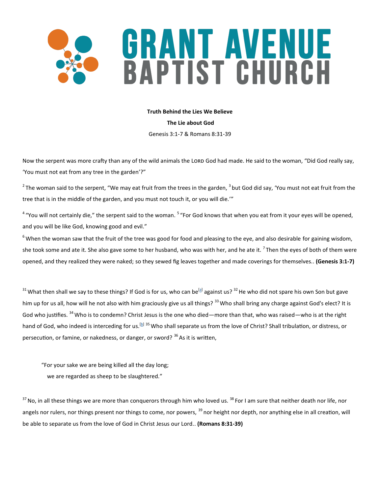# GRANT AVENUE<br>BAPTIST CHURCH

**Truth Behind the Lies We Believe**

**The Lie about God** 

Genesis 3:1-7 & Romans 8:31-39

Now the serpent was more crafty than any of the wild animals the LORD God had made. He said to the woman, "Did God really say, 'You must not eat from any tree in the garden'?"

<sup>2</sup> The woman said to the serpent, "We may eat fruit from the trees in the garden, <sup>3</sup> but God did say, 'You must not eat fruit from the tree that is in the middle of the garden, and you must not touch it, or you will die.'"

<sup>4</sup> "You will not certainly die," the serpent said to the woman. <sup>5</sup> "For God knows that when you eat from it your eyes will be opened, and you will be like God, knowing good and evil."

 $6$  When the woman saw that the fruit of the tree was good for food and pleasing to the eye, and also desirable for gaining wisdom, she took some and ate it. She also gave some to her husband, who was with her, and he ate it. <sup>7</sup>Then the eyes of both of them were opened, and they realized they were naked; so they sewed fig leaves together and made coverings for themselves.. **(Genesis 3:1-7)** 

<sup>31</sup> What then shall we say to these things? If God is for us, who can be<sup>[[a\]](https://www.biblegateway.com/passage/?search=Romans+8%3A31-39&version=ESV#fen-ESV-28132a)</sup> against us? <sup>32</sup> He who did not spare his own Son but gave him up for us all, how will he not also with him graciously give us all things? <sup>33</sup> Who shall bring any charge against God's elect? It is God who justifies. <sup>34</sup> Who is to condemn? Christ Jesus is the one who died—more than that, who was raised—who is at the right hand of God, who indeed is interceding for us.<sup>[[b\]](https://www.biblegateway.com/passage/?search=Romans+8%3A31-39&version=ESV#fen-ESV-28135b) 35</sup> Who shall separate us from the love of Christ? Shall tribulation, or distress, or persecution, or famine, or nakedness, or danger, or sword? <sup>36</sup> As it is written,

"For your sake we are being killed all the day long; we are regarded as sheep to be slaughtered."

 $37$  No, in all these things we are more than conquerors through him who loved us.  $38$  For I am sure that neither death nor life, nor angels nor rulers, nor things present nor things to come, nor powers, <sup>39</sup> nor height nor depth, nor anything else in all creation, will be able to separate us from the love of God in Christ Jesus our Lord.. **(Romans 8:31-39)**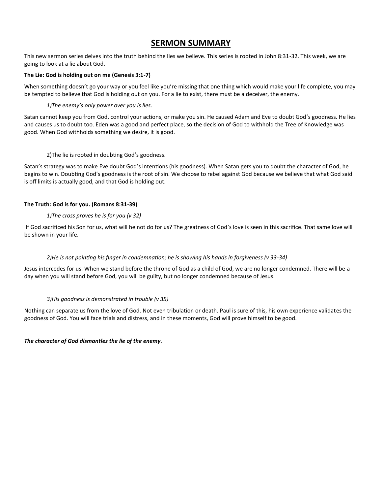# **SERMON SUMMARY**

This new sermon series delves into the truth behind the lies we believe. This series is rooted in John 8:31-32. This week, we are going to look at a lie about God.

## **The Lie: God is holding out on me (Genesis 3:1-7)**

When something doesn't go your way or you feel like you're missing that one thing which would make your life complete, you may be tempted to believe that God is holding out on you. For a lie to exist, there must be a deceiver, the enemy.

## *1)The enemy's only power over you is lies*.

Satan cannot keep you from God, control your actions, or make you sin. He caused Adam and Eve to doubt God's goodness. He lies and causes us to doubt too. Eden was a good and perfect place, so the decision of God to withhold the Tree of Knowledge was good. When God withholds something we desire, it is good.

## 2)The lie is rooted in doubting God's goodness.

Satan's strategy was to make Eve doubt God's intentions (his goodness). When Satan gets you to doubt the character of God, he begins to win. Doubting God's goodness is the root of sin. We choose to rebel against God because we believe that what God said is off limits is actually good, and that God is holding out.

# **The Truth: God is for you. (Romans 8:31-39)**

# *1)The cross proves he is for you (v 32)*

If God sacrificed his Son for us, what will he not do for us? The greatness of God's love is seen in this sacrifice. That same love will be shown in your life.

## *2)He is not pointing his finger in condemnation; he is showing his hands in forgiveness (v 33-34)*

Jesus intercedes for us. When we stand before the throne of God as a child of God, we are no longer condemned. There will be a day when you will stand before God, you will be guilty, but no longer condemned because of Jesus.

## *3)His goodness is demonstrated in trouble (v 35)*

Nothing can separate us from the love of God. Not even tribulation or death. Paul is sure of this, his own experience validates the goodness of God. You will face trials and distress, and in these moments, God will prove himself to be good.

*The character of God dismantles the lie of the enemy.*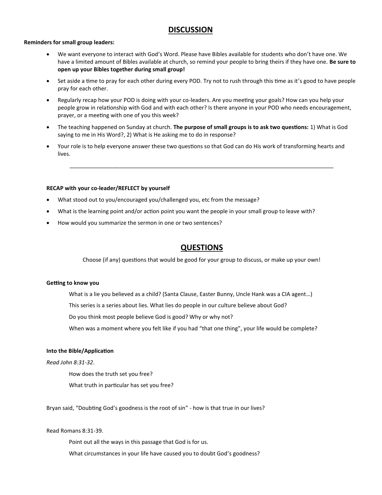# **DISCUSSION**

#### **Reminders for small group leaders:**

- We want everyone to interact with God's Word. Please have Bibles available for students who don't have one. We have a limited amount of Bibles available at church, so remind your people to bring theirs if they have one. **Be sure to open up your Bibles together during small group!**
- Set aside a time to pray for each other during every POD. Try not to rush through this time as it's good to have people pray for each other.
- Regularly recap how your POD is doing with your co-leaders. Are you meeting your goals? How can you help your people grow in relationship with God and with each other? Is there anyone in your POD who needs encouragement, prayer, or a meeting with one of you this week?
- The teaching happened on Sunday at church. **The purpose of small groups is to ask two questions:** 1) What is God saying to me in His Word?, 2) What is He asking me to do in response?
- Your role is to help everyone answer these two questions so that God can do His work of transforming hearts and lives.

\_\_\_\_\_\_\_\_\_\_\_\_\_\_\_\_\_\_\_\_\_\_\_\_\_\_\_\_\_\_\_\_\_\_\_\_\_\_\_\_\_\_\_\_\_\_\_\_\_\_\_\_\_\_\_\_\_\_\_\_\_\_\_\_\_\_\_\_\_\_\_\_\_\_\_\_\_\_\_\_\_\_\_\_\_

#### **RECAP with your co-leader/REFLECT by yourself**

- What stood out to you/encouraged you/challenged you, etc from the message?
- What is the learning point and/or action point you want the people in your small group to leave with?
- How would you summarize the sermon in one or two sentences?

# **QUESTIONS**

Choose (if any) questions that would be good for your group to discuss, or make up your own!

#### **Getting to know you**

What is a lie you believed as a child? (Santa Clause, Easter Bunny, Uncle Hank was a CIA agent…)

This series is a series about lies. What lies do people in our culture believe about God?

Do you think most people believe God is good? Why or why not?

When was a moment where you felt like if you had "that one thing", your life would be complete?

#### **Into the Bible/Application**

#### *Read John 8:31-32*.

How does the truth set you free? What truth in particular has set you free?

Bryan said, "Doubting God's goodness is the root of sin" - how is that true in our lives?

#### Read Romans 8:31-39.

Point out all the ways in this passage that God is for us.

What circumstances in your life have caused you to doubt God's goodness?